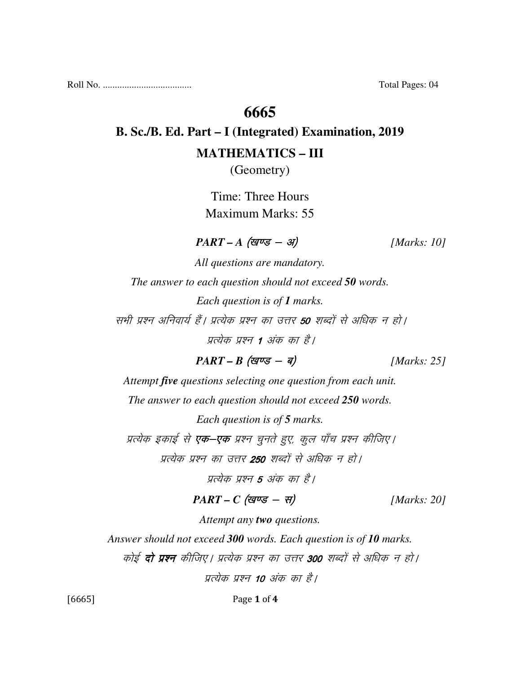Roll No. ..................................... Total Pages: 04

### **6665**

# **B. Sc./B. Ed. Part – I (Integrated) Examination, 2019 MATHEMATICS – III**

(Geometry)

Time: Three Hours Maximum Marks: 55

 $PART - A$  (खण्ड - अ) [Marks: 10]

*All questions are mandatory. The answer to each question should not exceed 50 words. Each question is of 1 marks.*  सभी प्रश्न अनिवार्य हैं। प्रत्येक प्रश्न का उत्तर **50** शब्दों से अधिक न हो। प्रत्येक प्रश्न 1 अंक का है।

$$
PART - B \text{ (ggvs - g)} \qquad [Marks: 25]
$$

*Attempt five questions selecting one question from each unit. The answer to each question should not exceed 250 words.* 

*Each question is of 5 marks.* 

प्रत्येक इकाई से **एक–एक** प्रश्न चुनते हुए, कूल पाँच प्रश्न कीजिए।

प्रत्येक प्रश्न का उत्तर **250** शब्दों से अधिक न हो।

प्रत्येक प्रश्न **5** अंक का है।

### $PART - C$  (खण्ड - स) [Marks: 20]

*Attempt any two questions.* 

*Answer should not exceed 300 words. Each question is of 10 marks.* 

कोई **दो प्रश्न** कीजिए। प्रत्येक प्रश्न का उत्तर 300 शब्दों से अधिक न हो।

प्रत्येक प्रश्न 10 अंक का है।

[6665] Page 1 of 4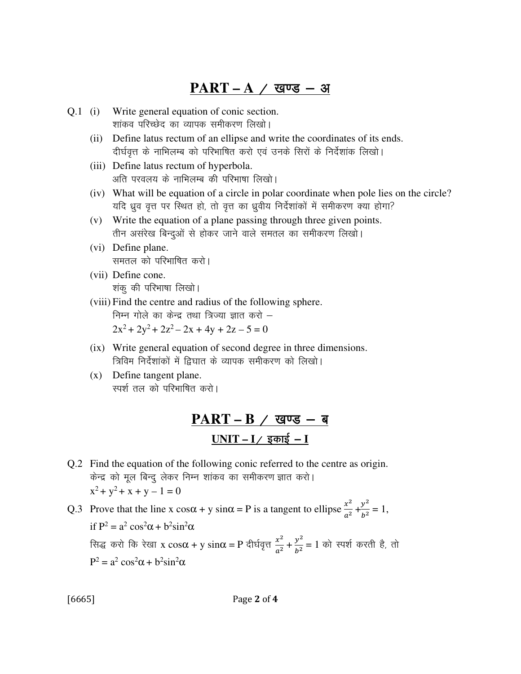## $PART - A / Q$  खण्ड – अ

- Q.1 (i) Write general equation of conic section. शांकव परिच्छेद का व्यापक समीकरण लिखो।
	- (ii) Define latus rectum of an ellipse and write the coordinates of its ends. दीर्घवृत्त के नाभिलम्ब को परिभाषित करो एवं उनके सिरों के निर्देशांक लिखो।
	- (iii) Define latus rectum of hyperbola. अति परवलय के नाभिलम्ब की परिभाषा लिखो।
	- (iv) What will be equation of a circle in polar coordinate when pole lies on the circle? यदि ध्रुव वृत्त पर स्थित हो, तो वृत्त का ध्रुवीय निर्देशांकों में समीकरण क्या होगा?
	- (v) Write the equation of a plane passing through three given points. तीन असंरेख बिन्दुओं से होकर जाने वाले समतल का समीकरण लिखो।
	- (vi) Define plane. समतल को परिभाषित करो।
	- (vii) Define cone. 'शकू की परिभाषा लिखो।
	- (viii) Find the centre and radius of the following sphere. निम्न गोले का केन्द्र तथा त्रिज्या ज्ञात करो –  $2x^2 + 2y^2 + 2z^2 - 2x + 4y + 2z - 5 = 0$
	- (ix) Write general equation of second degree in three dimensions. त्रिविम निर्देशांकों में द्रिघात के व्यापक समीकरण को लिखो।
	- (x) Define tangent plane. स्पर्श तल को परिभाषित करो।

## PART – B / खण्ड – ब  $UNIT - I /$  इकाई – **I**

Q.2 Find the equation of the following conic referred to the centre as origin. केन्द्र को मूल बिन्दु लेकर निम्न शांकव का समीकरण ज्ञात करो।  $x^2 + y^2 + x + y - 1 = 0$ 

Q.3 Prove that the line x  $\cos\alpha + y \sin\alpha = P$  is a tangent to ellipse  $\frac{x^2}{a^2}$  $\frac{x^2}{a^2} + \frac{y^2}{b^2}$  $\frac{y}{b^2} = 1,$ if  $P^2 = a^2 \cos^2 \alpha + b^2 \sin^2 \alpha$ सिद्ध करो कि रेखा x  $\cos\alpha + y \sin\alpha = P$  दीर्घवृत्त  $\frac{x^2}{\sigma^2}$  $\frac{x^2}{a^2} + \frac{y^2}{b^2}$  $\frac{y}{b^2} = 1$  को स्पर्श करती है, तो  $P^2 = a^2 \cos^2 \alpha + b^2 \sin^2 \alpha$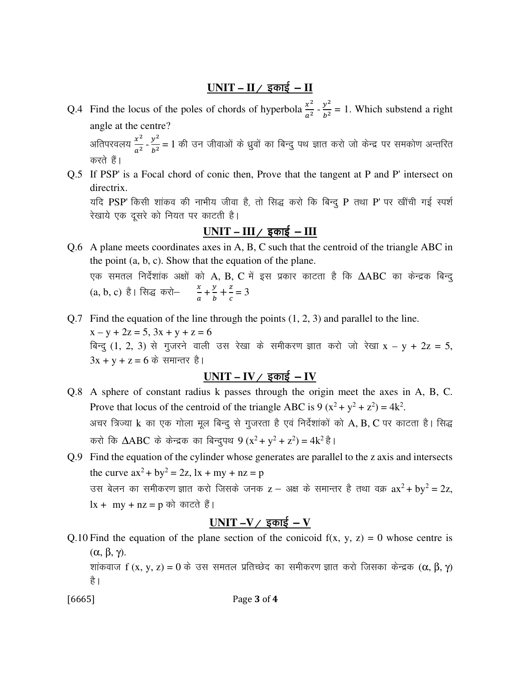### <u>UNIT – II / इकाई – II</u>

- Q.4 Find the locus of the poles of chords of hyperbola  $\frac{x^2}{a^2}$  $\frac{x^2}{a^2} - \frac{y^2}{b^2}$  $\frac{y}{b^2}$  = 1. Which substend a right angle at the centre? अतिपरवलय  $\frac{x^2}{z^2}$  $\frac{x^2}{a^2} - \frac{y^2}{b^2}$  $\frac{y^{-}}{b^{2}}=1$  की उन जीवाओं के ध्रुवों का बिन्दु पथ ज्ञात करो जो केन्द्र पर समकोण अन्तरित करते हैं।
- Q.5 If PSP' is a Focal chord of conic then, Prove that the tangent at P and P' intersect on directrix. यदि PSP' किसी शांकव की नाभीय जीवा है, तो सिद्ध करो कि बिन्दु P तथा P' पर खींची गई स्पर्श रेखाये एक दूसरे को नियत पर काटती है।

### $UNIT - III / \overline{\overline{\overline{}}}\overline{\overline{\overline{}}}\overline{\overline{}}$  <del>–</del>  $III$

Q.6 A plane meets coordinates axes in A, B, C such that the centroid of the triangle ABC in the point (a, b, c). Show that the equation of the plane. एक समतल निर्देशांक अक्षों को A, B, C में इस प्रकार काटता है कि  $\Delta\text{ABC}$  का केन्द्रक बिन्दु (a, b, c) है। सिद्ध करो— $\frac{x}{a} + \frac{y}{b}$  $\frac{y}{b}+\frac{z}{c}$  $\frac{2}{c} = 3$ 

Q.7 Find the equation of the line through the points (1, 2, 3) and parallel to the line.  $x - y + 2z = 5$ ,  $3x + y + z = 6$ बिन्दु  $(1, 2, 3)$  से गुजरने वाली उस रेखा के समीकरण ज्ञात करो जो रेखा x – y + 2z = 5,  $3x + y + z = 6$  के समान्तर है।

### $UNIT - IV /$  इकाई - IV

Q.8 A sphere of constant radius k passes through the origin meet the axes in A, B, C. Prove that locus of the centroid of the triangle ABC is  $9(x^2 + y^2 + z^2) = 4k^2$ . अचर त्रिज्या k का एक गोला मूल बिन्दु से गुजरता है एवं निर्देशांकों को A, B, C पर काटता है। सिद्ध करो कि  $\triangle ABC$  के केन्द्रक का बिन्दुपथ 9 (x<sup>2</sup> + y<sup>2</sup> + z<sup>2</sup>) = 4k<sup>2</sup> है।

Q.9 Find the equation of the cylinder whose generates are parallel to the z axis and intersects the curve  $ax^2 + by^2 = 2z$ ,  $lx + my + nz = p$ उस बेलन का समीकरण ज्ञात करो जिसके जनक z — अक्ष के समान्तर है तथा वक्र  $ax^2 + by^2 = 2z$ ,  $lx + my + nz = p$  को काटते हैं।

#### $UNIT -V /$  इकाई – V

Q.10 Find the equation of the plane section of the conicoid  $f(x, y, z) = 0$  whose centre is (α, β, γ).

शांकवाज f (x, y, z) = 0 के उस समतल प्रतिच्छेद का समीकरण ज्ञात करो जिसका केन्द्रक (α, β, γ) है।

[6665] Page 3 of 4